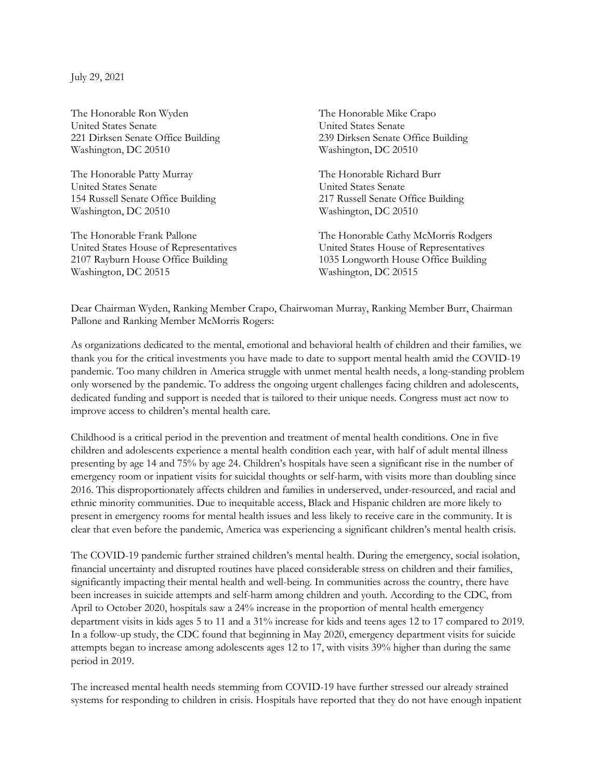July 29, 2021

The Honorable Ron Wyden The Honorable Mike Crapo United States Senate United States Senate 221 Dirksen Senate Office Building 239 Dirksen Senate Office Building Washington, DC 20510 Washington, DC 20510

The Honorable Patty Murray The Honorable Richard Burr United States Senate United States Senate 154 Russell Senate Office Building 217 Russell Senate Office Building Washington, DC 20510 Washington, DC 20510

Washington, DC 20515 Washington, DC 20515

The Honorable Frank Pallone The Honorable Cathy McMorris Rodgers United States House of Representatives United States House of Representatives 2107 Rayburn House Office Building 1035 Longworth House Office Building

Dear Chairman Wyden, Ranking Member Crapo, Chairwoman Murray, Ranking Member Burr, Chairman Pallone and Ranking Member McMorris Rogers:

As organizations dedicated to the mental, emotional and behavioral health of children and their families, we thank you for the critical investments you have made to date to support mental health amid the COVID-19 pandemic. Too many children in America struggle with unmet mental health needs, a long-standing problem only worsened by the pandemic. To address the ongoing urgent challenges facing children and adolescents, dedicated funding and support is needed that is tailored to their unique needs. Congress must act now to improve access to children's mental health care.

Childhood is a critical period in the prevention and treatment of mental health conditions. One in five children and adolescents experience a mental health condition each year, with half of adult mental illness presenting by age 14 and 75% by age 24. Children's hospitals have seen a significant rise in the number of emergency room or inpatient visits for suicidal thoughts or self-harm, with visits more than doubling since 2016. This disproportionately affects children and families in underserved, under-resourced, and racial and ethnic minority communities. Due to inequitable access, Black and Hispanic children are more likely to present in emergency rooms for mental health issues and less likely to receive care in the community. It is clear that even before the pandemic, America was experiencing a significant children's mental health crisis.

The COVID-19 pandemic further strained children's mental health. During the emergency, social isolation, financial uncertainty and disrupted routines have placed considerable stress on children and their families, significantly impacting their mental health and well-being. In communities across the country, there have been increases in suicide attempts and self-harm among children and youth. According to the CDC, from April to October 2020, hospitals saw a 24% increase in the proportion of mental health emergency department visits in kids ages 5 to 11 and a 31% increase for kids and teens ages 12 to 17 compared to 2019. In a follow-up study, the CDC found that beginning in May 2020, emergency department visits for suicide attempts began to increase among adolescents ages 12 to 17, with visits 39% higher than during the same period in 2019.

The increased mental health needs stemming from COVID-19 have further stressed our already strained systems for responding to children in crisis. Hospitals have reported that they do not have enough inpatient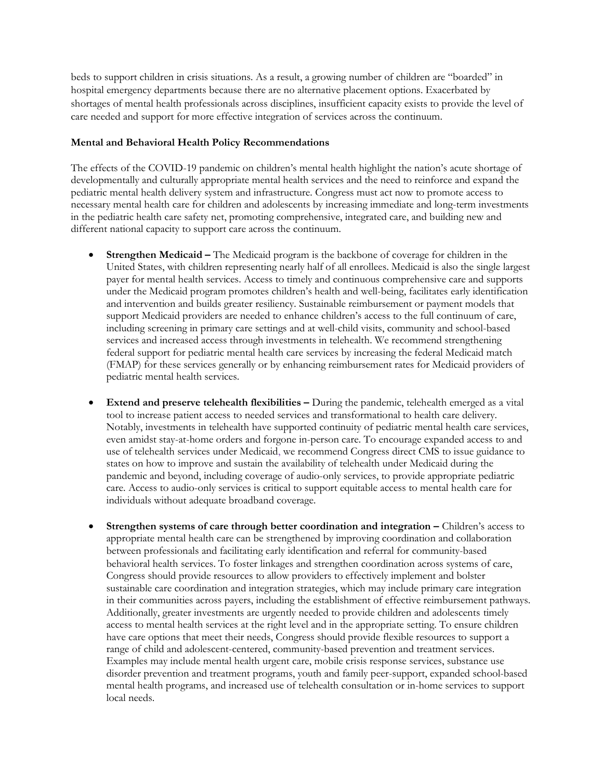beds to support children in crisis situations. As a result, a growing number of children are "boarded" in hospital emergency departments because there are no alternative placement options. Exacerbated by shortages of mental health professionals across disciplines, insufficient capacity exists to provide the level of care needed and support for more effective integration of services across the continuum.

## Mental and Behavioral Health Policy Recommendations

The effects of the COVID-19 pandemic on children's mental health highlight the nation's acute shortage of developmentally and culturally appropriate mental health services and the need to reinforce and expand the pediatric mental health delivery system and infrastructure. Congress must act now to promote access to necessary mental health care for children and adolescents by increasing immediate and long-term investments in the pediatric health care safety net, promoting comprehensive, integrated care, and building new and different national capacity to support care across the continuum.

- Strengthen Medicaid The Medicaid program is the backbone of coverage for children in the United States, with children representing nearly half of all enrollees. Medicaid is also the single largest payer for mental health services. Access to timely and continuous comprehensive care and supports under the Medicaid program promotes children's health and well-being, facilitates early identification and intervention and builds greater resiliency. Sustainable reimbursement or payment models that support Medicaid providers are needed to enhance children's access to the full continuum of care, including screening in primary care settings and at well-child visits, community and school-based services and increased access through investments in telehealth. We recommend strengthening federal support for pediatric mental health care services by increasing the federal Medicaid match (FMAP) for these services generally or by enhancing reimbursement rates for Medicaid providers of pediatric mental health services.
- Extend and preserve telehealth flexibilities During the pandemic, telehealth emerged as a vital tool to increase patient access to needed services and transformational to health care delivery. Notably, investments in telehealth have supported continuity of pediatric mental health care services, even amidst stay-at-home orders and forgone in-person care. To encourage expanded access to and use of telehealth services under Medicaid, we recommend Congress direct CMS to issue guidance to states on how to improve and sustain the availability of telehealth under Medicaid during the pandemic and beyond, including coverage of audio-only services, to provide appropriate pediatric care. Access to audio-only services is critical to support equitable access to mental health care for individuals without adequate broadband coverage.
- Strengthen systems of care through better coordination and integration Children's access to appropriate mental health care can be strengthened by improving coordination and collaboration between professionals and facilitating early identification and referral for community-based behavioral health services. To foster linkages and strengthen coordination across systems of care, Congress should provide resources to allow providers to effectively implement and bolster sustainable care coordination and integration strategies, which may include primary care integration in their communities across payers, including the establishment of effective reimbursement pathways. Additionally, greater investments are urgently needed to provide children and adolescents timely access to mental health services at the right level and in the appropriate setting. To ensure children have care options that meet their needs, Congress should provide flexible resources to support a range of child and adolescent-centered, community-based prevention and treatment services. Examples may include mental health urgent care, mobile crisis response services, substance use disorder prevention and treatment programs, youth and family peer-support, expanded school-based mental health programs, and increased use of telehealth consultation or in-home services to support local needs.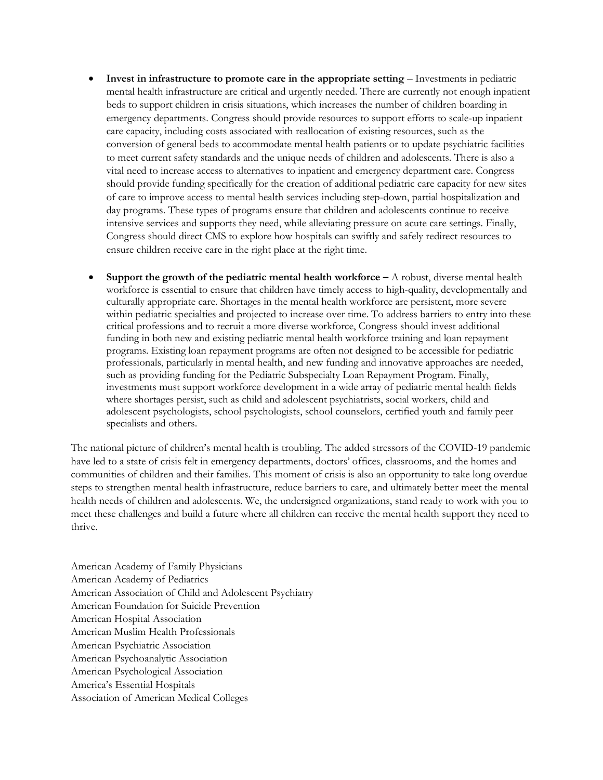- Invest in infrastructure to promote care in the appropriate setting Investments in pediatric mental health infrastructure are critical and urgently needed. There are currently not enough inpatient beds to support children in crisis situations, which increases the number of children boarding in emergency departments. Congress should provide resources to support efforts to scale-up inpatient care capacity, including costs associated with reallocation of existing resources, such as the conversion of general beds to accommodate mental health patients or to update psychiatric facilities to meet current safety standards and the unique needs of children and adolescents. There is also a vital need to increase access to alternatives to inpatient and emergency department care. Congress should provide funding specifically for the creation of additional pediatric care capacity for new sites of care to improve access to mental health services including step-down, partial hospitalization and day programs. These types of programs ensure that children and adolescents continue to receive intensive services and supports they need, while alleviating pressure on acute care settings. Finally, Congress should direct CMS to explore how hospitals can swiftly and safely redirect resources to ensure children receive care in the right place at the right time.
- Support the growth of the pediatric mental health workforce  $A$  robust, diverse mental health workforce is essential to ensure that children have timely access to high-quality, developmentally and culturally appropriate care. Shortages in the mental health workforce are persistent, more severe within pediatric specialties and projected to increase over time. To address barriers to entry into these critical professions and to recruit a more diverse workforce, Congress should invest additional funding in both new and existing pediatric mental health workforce training and loan repayment programs. Existing loan repayment programs are often not designed to be accessible for pediatric professionals, particularly in mental health, and new funding and innovative approaches are needed, such as providing funding for the Pediatric Subspecialty Loan Repayment Program. Finally, investments must support workforce development in a wide array of pediatric mental health fields where shortages persist, such as child and adolescent psychiatrists, social workers, child and adolescent psychologists, school psychologists, school counselors, certified youth and family peer specialists and others.

The national picture of children's mental health is troubling. The added stressors of the COVID-19 pandemic have led to a state of crisis felt in emergency departments, doctors' offices, classrooms, and the homes and communities of children and their families. This moment of crisis is also an opportunity to take long overdue steps to strengthen mental health infrastructure, reduce barriers to care, and ultimately better meet the mental health needs of children and adolescents. We, the undersigned organizations, stand ready to work with you to meet these challenges and build a future where all children can receive the mental health support they need to thrive.

American Academy of Family Physicians American Academy of Pediatrics American Association of Child and Adolescent Psychiatry American Foundation for Suicide Prevention American Hospital Association American Muslim Health Professionals American Psychiatric Association American Psychoanalytic Association American Psychological Association America's Essential Hospitals Association of American Medical Colleges